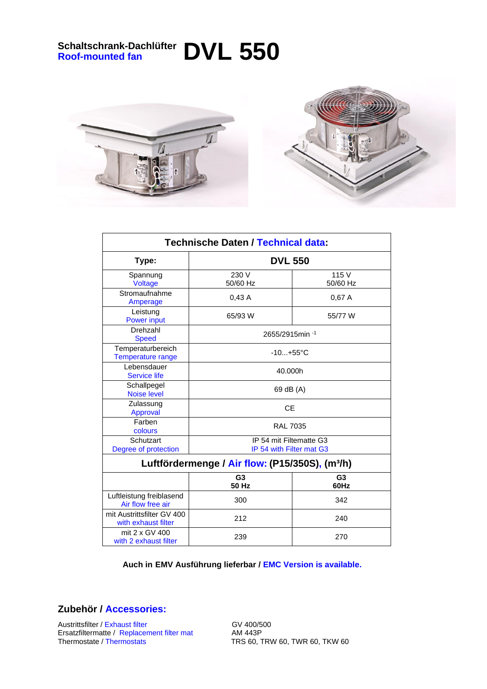## **Schaltschrank-Dachlüfter Roof-mounted fan DVL 550**





| <b>Technische Daten / Technical data:</b>                   |                                                     |                        |
|-------------------------------------------------------------|-----------------------------------------------------|------------------------|
| Type:                                                       | <b>DVL 550</b>                                      |                        |
| Spannung<br>Voltage                                         | 230 V<br>50/60 Hz                                   | 115 V<br>50/60 Hz      |
| Stromaufnahme<br>Amperage                                   | 0,43A                                               | 0,67A                  |
| Leistung<br><b>Power input</b>                              | 65/93 W                                             | 55/77 W                |
| Drehzahl<br><b>Speed</b>                                    | 2655/2915min <sup>-1</sup>                          |                        |
| Temperaturbereich<br>Temperature range                      | $-10+55$ °C                                         |                        |
| Lebensdauer<br><b>Service life</b>                          | 40.000h                                             |                        |
| Schallpegel<br><b>Noise level</b>                           | 69 dB (A)                                           |                        |
| Zulassung<br>Approval                                       | <b>CE</b>                                           |                        |
| Farben<br>colours                                           | <b>RAL 7035</b>                                     |                        |
| Schutzart<br>Degree of protection                           | IP 54 mit Filtematte G3<br>IP 54 with Filter mat G3 |                        |
| Luftfördermenge / Air flow: (P15/350S), (m <sup>3</sup> /h) |                                                     |                        |
|                                                             | G <sub>3</sub><br>50 Hz                             | G <sub>3</sub><br>60Hz |
| Luftleistung freiblasend<br>Air flow free air               | 300                                                 | 342                    |
| mit Austrittsfilter GV 400<br>with exhaust filter           | 212                                                 | 240                    |
| mit 2 x GV 400<br>with 2 exhaust filter                     | 239                                                 | 270                    |

 **Auch in EMV Ausführung lieferbar / EMC Version is available.**

**Zubehör / Accessories:**

Austrittsfilter / Exhaust filter<br>Ersatzfiltermatte / Replacement filter mat AM 443P Ersatzfiltermatte / Replacement filter mat<br>Thermostate / Thermostats

TRS 60, TRW 60, TWR 60, TKW 60